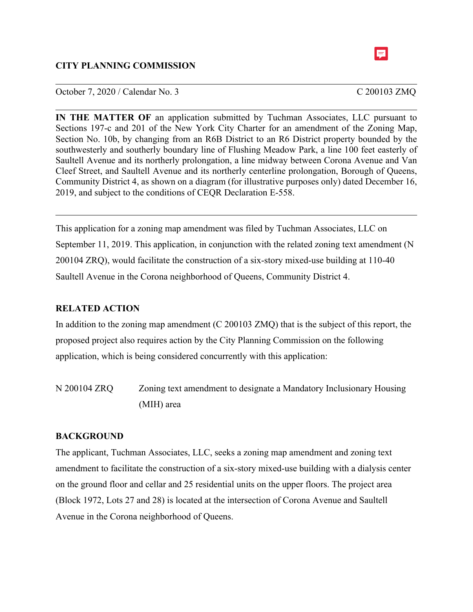# **CITY PLANNING COMMISSION**



**IN THE MATTER OF** an application submitted by Tuchman Associates, LLC pursuant to Sections 197-c and 201 of the New York City Charter for an amendment of the Zoning Map, Section No. 10b, by changing from an R6B District to an R6 District property bounded by the southwesterly and southerly boundary line of Flushing Meadow Park, a line 100 feet easterly of Saultell Avenue and its northerly prolongation, a line midway between Corona Avenue and Van Cleef Street, and Saultell Avenue and its northerly centerline prolongation, Borough of Queens, Community District 4, as shown on a diagram (for illustrative purposes only) dated December 16, 2019, and subject to the conditions of CEQR Declaration E-558.

This application for a zoning map amendment was filed by Tuchman Associates, LLC on September 11, 2019. This application, in conjunction with the related zoning text amendment (N 200104 ZRQ), would facilitate the construction of a six-story mixed-use building at 110-40 Saultell Avenue in the Corona neighborhood of Queens, Community District 4.

# **RELATED ACTION**

In addition to the zoning map amendment (C 200103 ZMQ) that is the subject of this report, the proposed project also requires action by the City Planning Commission on the following application, which is being considered concurrently with this application:

N 200104 ZRQ Zoning text amendment to designate a Mandatory Inclusionary Housing (MIH) area

# **BACKGROUND**

The applicant, Tuchman Associates, LLC, seeks a zoning map amendment and zoning text amendment to facilitate the construction of a six-story mixed-use building with a dialysis center on the ground floor and cellar and 25 residential units on the upper floors. The project area (Block 1972, Lots 27 and 28) is located at the intersection of Corona Avenue and Saultell Avenue in the Corona neighborhood of Queens.

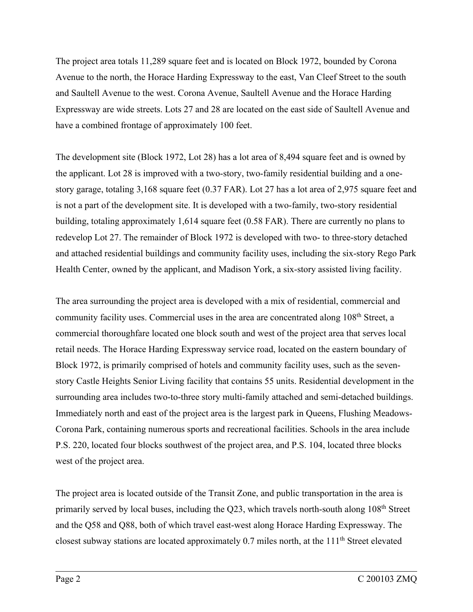The project area totals 11,289 square feet and is located on Block 1972, bounded by Corona Avenue to the north, the Horace Harding Expressway to the east, Van Cleef Street to the south and Saultell Avenue to the west. Corona Avenue, Saultell Avenue and the Horace Harding Expressway are wide streets. Lots 27 and 28 are located on the east side of Saultell Avenue and have a combined frontage of approximately 100 feet.

The development site (Block 1972, Lot 28) has a lot area of 8,494 square feet and is owned by the applicant. Lot 28 is improved with a two-story, two-family residential building and a onestory garage, totaling 3,168 square feet (0.37 FAR). Lot 27 has a lot area of 2,975 square feet and is not a part of the development site. It is developed with a two-family, two-story residential building, totaling approximately 1,614 square feet (0.58 FAR). There are currently no plans to redevelop Lot 27. The remainder of Block 1972 is developed with two- to three-story detached and attached residential buildings and community facility uses, including the six-story Rego Park Health Center, owned by the applicant, and Madison York, a six-story assisted living facility.

The area surrounding the project area is developed with a mix of residential, commercial and community facility uses. Commercial uses in the area are concentrated along 108<sup>th</sup> Street, a commercial thoroughfare located one block south and west of the project area that serves local retail needs. The Horace Harding Expressway service road, located on the eastern boundary of Block 1972, is primarily comprised of hotels and community facility uses, such as the sevenstory Castle Heights Senior Living facility that contains 55 units. Residential development in the surrounding area includes two-to-three story multi-family attached and semi-detached buildings. Immediately north and east of the project area is the largest park in Queens, Flushing Meadows-Corona Park, containing numerous sports and recreational facilities. Schools in the area include P.S. 220, located four blocks southwest of the project area, and P.S. 104, located three blocks west of the project area.

The project area is located outside of the Transit Zone, and public transportation in the area is primarily served by local buses, including the Q23, which travels north-south along 108<sup>th</sup> Street and the Q58 and Q88, both of which travel east-west along Horace Harding Expressway. The closest subway stations are located approximately 0.7 miles north, at the 111th Street elevated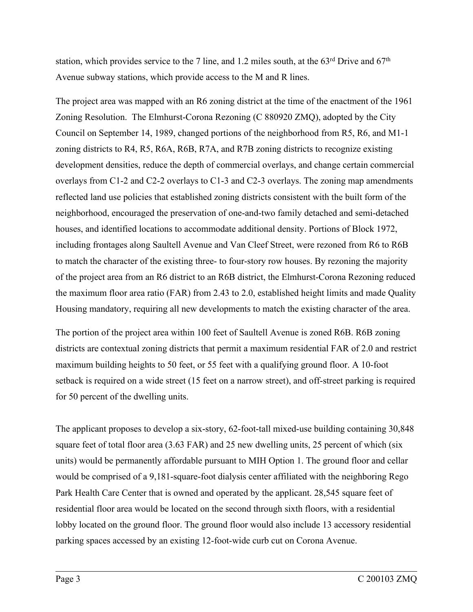station, which provides service to the 7 line, and 1.2 miles south, at the  $63<sup>rd</sup>$  Drive and  $67<sup>th</sup>$ Avenue subway stations, which provide access to the M and R lines.

The project area was mapped with an R6 zoning district at the time of the enactment of the 1961 Zoning Resolution. The Elmhurst-Corona Rezoning (C 880920 ZMQ), adopted by the City Council on September 14, 1989, changed portions of the neighborhood from R5, R6, and M1-1 zoning districts to R4, R5, R6A, R6B, R7A, and R7B zoning districts to recognize existing development densities, reduce the depth of commercial overlays, and change certain commercial overlays from C1-2 and C2-2 overlays to C1-3 and C2-3 overlays. The zoning map amendments reflected land use policies that established zoning districts consistent with the built form of the neighborhood, encouraged the preservation of one-and-two family detached and semi-detached houses, and identified locations to accommodate additional density. Portions of Block 1972, including frontages along Saultell Avenue and Van Cleef Street, were rezoned from R6 to R6B to match the character of the existing three- to four-story row houses. By rezoning the majority of the project area from an R6 district to an R6B district, the Elmhurst-Corona Rezoning reduced the maximum floor area ratio (FAR) from 2.43 to 2.0, established height limits and made Quality Housing mandatory, requiring all new developments to match the existing character of the area.

The portion of the project area within 100 feet of Saultell Avenue is zoned R6B. R6B zoning districts are contextual zoning districts that permit a maximum residential FAR of 2.0 and restrict maximum building heights to 50 feet, or 55 feet with a qualifying ground floor. A 10-foot setback is required on a wide street (15 feet on a narrow street), and off-street parking is required for 50 percent of the dwelling units.

The applicant proposes to develop a six-story, 62-foot-tall mixed-use building containing 30,848 square feet of total floor area (3.63 FAR) and 25 new dwelling units, 25 percent of which (six units) would be permanently affordable pursuant to MIH Option 1. The ground floor and cellar would be comprised of a 9,181-square-foot dialysis center affiliated with the neighboring Rego Park Health Care Center that is owned and operated by the applicant. 28,545 square feet of residential floor area would be located on the second through sixth floors, with a residential lobby located on the ground floor. The ground floor would also include 13 accessory residential parking spaces accessed by an existing 12-foot-wide curb cut on Corona Avenue.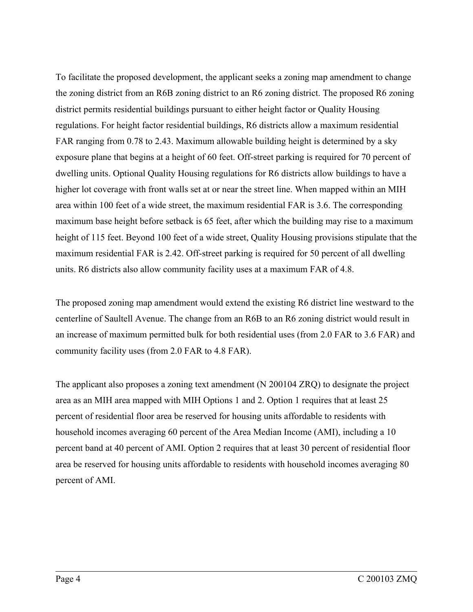To facilitate the proposed development, the applicant seeks a zoning map amendment to change the zoning district from an R6B zoning district to an R6 zoning district. The proposed R6 zoning district permits residential buildings pursuant to either height factor or Quality Housing regulations. For height factor residential buildings, R6 districts allow a maximum residential FAR ranging from 0.78 to 2.43. Maximum allowable building height is determined by a sky exposure plane that begins at a height of 60 feet. Off-street parking is required for 70 percent of dwelling units. Optional Quality Housing regulations for R6 districts allow buildings to have a higher lot coverage with front walls set at or near the street line. When mapped within an MIH area within 100 feet of a wide street, the maximum residential FAR is 3.6. The corresponding maximum base height before setback is 65 feet, after which the building may rise to a maximum height of 115 feet. Beyond 100 feet of a wide street, Quality Housing provisions stipulate that the maximum residential FAR is 2.42. Off-street parking is required for 50 percent of all dwelling units. R6 districts also allow community facility uses at a maximum FAR of 4.8.

The proposed zoning map amendment would extend the existing R6 district line westward to the centerline of Saultell Avenue. The change from an R6B to an R6 zoning district would result in an increase of maximum permitted bulk for both residential uses (from 2.0 FAR to 3.6 FAR) and community facility uses (from 2.0 FAR to 4.8 FAR).

The applicant also proposes a zoning text amendment (N 200104 ZRQ) to designate the project area as an MIH area mapped with MIH Options 1 and 2. Option 1 requires that at least 25 percent of residential floor area be reserved for housing units affordable to residents with household incomes averaging 60 percent of the Area Median Income (AMI), including a 10 percent band at 40 percent of AMI. Option 2 requires that at least 30 percent of residential floor area be reserved for housing units affordable to residents with household incomes averaging 80 percent of AMI.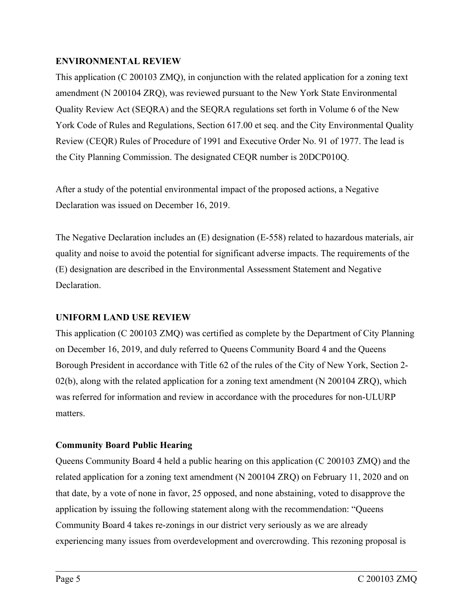# **ENVIRONMENTAL REVIEW**

This application (C 200103 ZMQ), in conjunction with the related application for a zoning text amendment (N 200104 ZRQ), was reviewed pursuant to the New York State Environmental Quality Review Act (SEQRA) and the SEQRA regulations set forth in Volume 6 of the New York Code of Rules and Regulations, Section 617.00 et seq. and the City Environmental Quality Review (CEQR) Rules of Procedure of 1991 and Executive Order No. 91 of 1977. The lead is the City Planning Commission. The designated CEQR number is 20DCP010Q.

After a study of the potential environmental impact of the proposed actions, a Negative Declaration was issued on December 16, 2019.

The Negative Declaration includes an (E) designation (E-558) related to hazardous materials, air quality and noise to avoid the potential for significant adverse impacts. The requirements of the (E) designation are described in the Environmental Assessment Statement and Negative Declaration.

# **UNIFORM LAND USE REVIEW**

This application (C 200103 ZMQ) was certified as complete by the Department of City Planning on December 16, 2019, and duly referred to Queens Community Board 4 and the Queens Borough President in accordance with Title 62 of the rules of the City of New York, Section 2-  $02(b)$ , along with the related application for a zoning text amendment (N 200104 ZRQ), which was referred for information and review in accordance with the procedures for non-ULURP matters.

# **Community Board Public Hearing**

Queens Community Board 4 held a public hearing on this application (C 200103 ZMQ) and the related application for a zoning text amendment (N 200104 ZRQ) on February 11, 2020 and on that date, by a vote of none in favor, 25 opposed, and none abstaining, voted to disapprove the application by issuing the following statement along with the recommendation: "Queens Community Board 4 takes re-zonings in our district very seriously as we are already experiencing many issues from overdevelopment and overcrowding. This rezoning proposal is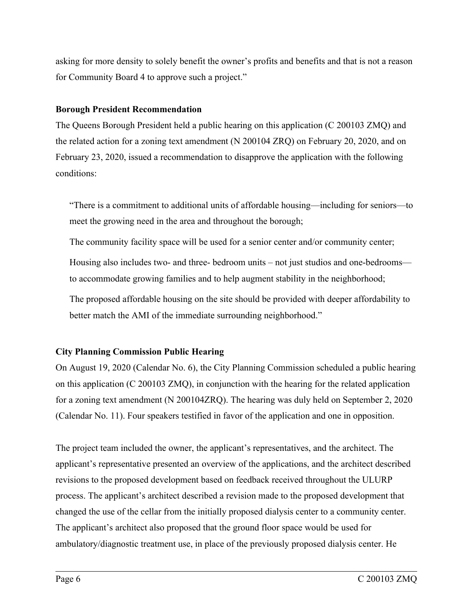asking for more density to solely benefit the owner's profits and benefits and that is not a reason for Community Board 4 to approve such a project."

#### **Borough President Recommendation**

The Queens Borough President held a public hearing on this application (C 200103 ZMQ) and the related action for a zoning text amendment (N 200104 ZRQ) on February 20, 2020, and on February 23, 2020, issued a recommendation to disapprove the application with the following conditions:

"There is a commitment to additional units of affordable housing—including for seniors—to meet the growing need in the area and throughout the borough;

The community facility space will be used for a senior center and/or community center;

Housing also includes two- and three- bedroom units – not just studios and one-bedrooms to accommodate growing families and to help augment stability in the neighborhood;

The proposed affordable housing on the site should be provided with deeper affordability to better match the AMI of the immediate surrounding neighborhood."

# **City Planning Commission Public Hearing**

On August 19, 2020 (Calendar No. 6), the City Planning Commission scheduled a public hearing on this application (C 200103 ZMQ), in conjunction with the hearing for the related application for a zoning text amendment (N 200104ZRQ). The hearing was duly held on September 2, 2020 (Calendar No. 11). Four speakers testified in favor of the application and one in opposition.

The project team included the owner, the applicant's representatives, and the architect. The applicant's representative presented an overview of the applications, and the architect described revisions to the proposed development based on feedback received throughout the ULURP process. The applicant's architect described a revision made to the proposed development that changed the use of the cellar from the initially proposed dialysis center to a community center. The applicant's architect also proposed that the ground floor space would be used for ambulatory/diagnostic treatment use, in place of the previously proposed dialysis center. He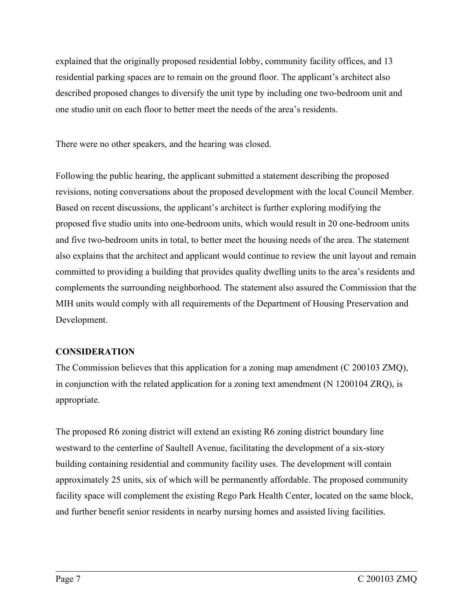explained that the originally proposed residential lobby, community facility offices, and 13 residential parking spaces are to remain on the ground floor. The applicant's architect also described proposed changes to diversify the unit type by including one two-bedroom unit and one studio unit on each floor to better meet the needs of the area's residents.

There were no other speakers, and the hearing was closed.

Following the public hearing, the applicant submitted a statement describing the proposed revisions, noting conversations about the proposed development with the local Council Member. Based on recent discussions, the applicant's architect is further exploring modifying the proposed five studio units into one-bedroom units, which would result in 20 one-bedroom units and five two-bedroom units in total, to better meet the housing needs of the area. The statement also explains that the architect and applicant would continue to review the unit layout and remain committed to providing a building that provides quality dwelling units to the area's residents and complements the surrounding neighborhood. The statement also assured the Commission that the MIH units would comply with all requirements of the Department of Housing Preservation and Development.

# **CONSIDERATION**

The Commission believes that this application for a zoning map amendment (C 200103 ZMQ), in conjunction with the related application for a zoning text amendment (N 1200104 ZRQ), is appropriate.

The proposed R6 zoning district will extend an existing R6 zoning district boundary line westward to the centerline of Saultell Avenue, facilitating the development of a six-story building containing residential and community facility uses. The development will contain approximately 25 units, six of which will be permanently affordable. The proposed community facility space will complement the existing Rego Park Health Center, located on the same block, and further benefit senior residents in nearby nursing homes and assisted living facilities.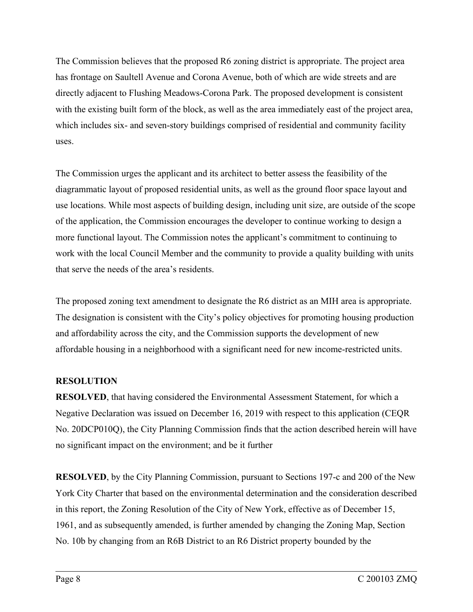The Commission believes that the proposed R6 zoning district is appropriate. The project area has frontage on Saultell Avenue and Corona Avenue, both of which are wide streets and are directly adjacent to Flushing Meadows-Corona Park. The proposed development is consistent with the existing built form of the block, as well as the area immediately east of the project area, which includes six- and seven-story buildings comprised of residential and community facility uses.

The Commission urges the applicant and its architect to better assess the feasibility of the diagrammatic layout of proposed residential units, as well as the ground floor space layout and use locations. While most aspects of building design, including unit size, are outside of the scope of the application, the Commission encourages the developer to continue working to design a more functional layout. The Commission notes the applicant's commitment to continuing to work with the local Council Member and the community to provide a quality building with units that serve the needs of the area's residents.

The proposed zoning text amendment to designate the R6 district as an MIH area is appropriate. The designation is consistent with the City's policy objectives for promoting housing production and affordability across the city, and the Commission supports the development of new affordable housing in a neighborhood with a significant need for new income-restricted units.

# **RESOLUTION**

**RESOLVED**, that having considered the Environmental Assessment Statement, for which a Negative Declaration was issued on December 16, 2019 with respect to this application (CEQR No. 20DCP010Q), the City Planning Commission finds that the action described herein will have no significant impact on the environment; and be it further

**RESOLVED**, by the City Planning Commission, pursuant to Sections 197-c and 200 of the New York City Charter that based on the environmental determination and the consideration described in this report, the Zoning Resolution of the City of New York, effective as of December 15, 1961, and as subsequently amended, is further amended by changing the Zoning Map, Section No. 10b by changing from an R6B District to an R6 District property bounded by the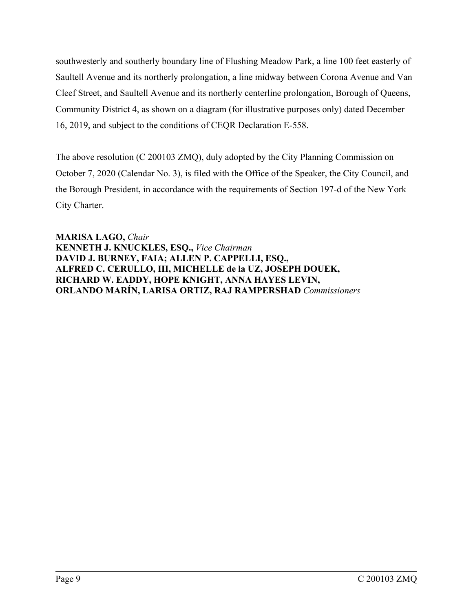southwesterly and southerly boundary line of Flushing Meadow Park, a line 100 feet easterly of Saultell Avenue and its northerly prolongation, a line midway between Corona Avenue and Van Cleef Street, and Saultell Avenue and its northerly centerline prolongation, Borough of Queens, Community District 4, as shown on a diagram (for illustrative purposes only) dated December 16, 2019, and subject to the conditions of CEQR Declaration E-558.

The above resolution (C 200103 ZMQ), duly adopted by the City Planning Commission on October 7, 2020 (Calendar No. 3), is filed with the Office of the Speaker, the City Council, and the Borough President, in accordance with the requirements of Section 197-d of the New York City Charter.

**MARISA LAGO,** *Chair* **KENNETH J. KNUCKLES, ESQ.,** *Vice Chairman* **DAVID J. BURNEY, FAIA; ALLEN P. CAPPELLI, ESQ., ALFRED C. CERULLO, III, MICHELLE de la UZ, JOSEPH DOUEK, RICHARD W. EADDY, HOPE KNIGHT, ANNA HAYES LEVIN, ORLANDO MARÍN, LARISA ORTIZ, RAJ RAMPERSHAD** *Commissioners*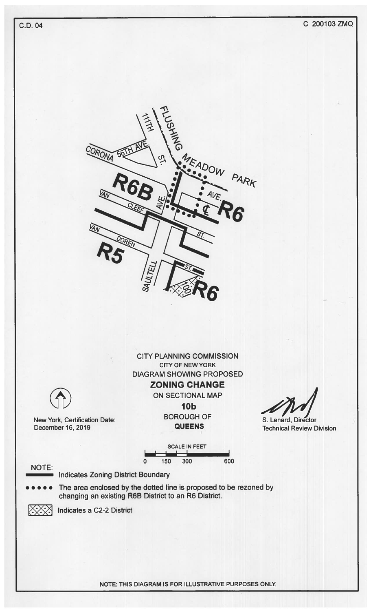

NOTE: THIS DIAGRAM IS FOR ILLUSTRATIVE PURPOSES ONLY.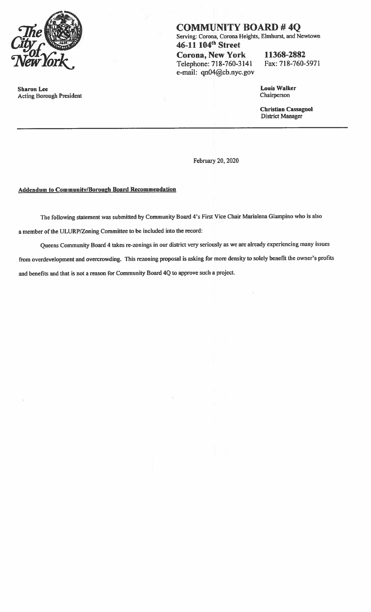

**Sharon Lee Acting Borough President**  **COMMUNITY BOARD #4Q** Serving: Corona, Corona Heights, Elmhurst, and Newtown 46-11 104<sup>th</sup> Street **Corona, New York** 11368-2882 Telephone: 718-760-3141 Fax: 718-760-5971

e-mail: qn04@cb.nyc.gov

**Louis Walker** Chairperson

**Christian Cassagnol District Manager** 

February 20, 2020

#### **Addendum to Community/Borough Board Recommendation**

The following statement was submitted by Community Board 4's First Vice Chair Marialena Giampino who is also a member of the ULURP/Zoning Committee to be included into the record:

Queens Community Board 4 takes re-zonings in our district very seriously as we are already experiencing many issues from overdevelopment and overcrowding. This rezoning proposal is asking for more density to solely benefit the owner's profits and benefits and that is not a reason for Community Board 4Q to approve such a project.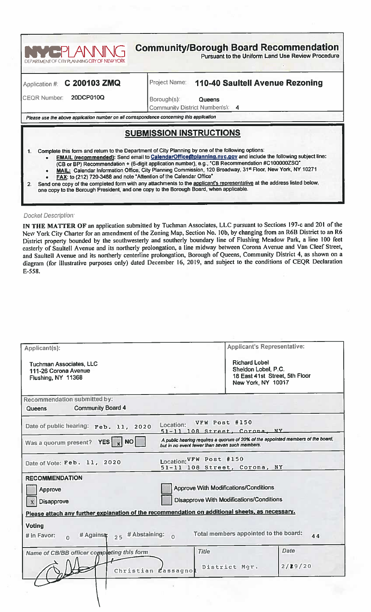

Please use the above application number on all correspondence concerning this application

# <u>SUBMISSION INSTRUCTIONS</u>

- Complete this form and return to the Department of City Planning by one of the following options:
	- EMAIL (recommended): Send email to CalendarOffice@planning.nyc.gov and include the following subject line:
		- (CB or BP) Recommendation + (6-digit application number), e.g., "CB Recommendation #C1000002SQ"<br>MAIL: Calendar Information Office, City Planning Commission, 120 Broadway, 31<sup>st</sup> Floor, New York, NY 10271
		-
		- FAX: to (212) 720-3488 and note "Attention of the Calendar Office"

Send one copy of the completed form with any attachments to the applicant's representative at the address listed below.  $2.$ one copy to the Borough President, and one copy to the Borough Board, when applicable.

#### **Docket Description:**

 $1.$ 

IN THE MATTER OF an application submitted by Tuchman Associates, LLC pursuant to Sections 197-c and 201 of the New York City Charter for an amendment of the Zoning Map, Section No. 10b, by changing from an R6B District to an R6 District property bounded by the southwesterly and southerly boundary line of Flushing Meadow Park, a line 100 feet easterly of Saultell Avenue and its northerly prolongation, a line midway between Corona Avenue and Van Cleef Street, and Saultell Avenue and its northerly centerline prolongation, Borough of Queens, Community District 4, as shown on a diagram (for illustrative purposes only) dated December 16, 2019, and subject to the conditions of CEQR Declaration E-558.

| Applicant(s):                                                                                   | <b>Applicant's Representative:</b>                                                                                                 |  |
|-------------------------------------------------------------------------------------------------|------------------------------------------------------------------------------------------------------------------------------------|--|
| <b>Tuchman Associates, LLC</b><br>111-26 Corona Avenue<br>Flushing, NY 11368                    | <b>Richard Lobel</b><br>Sheldon Lobel, P.C.<br>18 East 41st Street, 5th Floor<br>New York, NY 10017                                |  |
| <b>Recommendation submitted by:</b>                                                             |                                                                                                                                    |  |
| <b>Community Board 4</b><br>Queens                                                              |                                                                                                                                    |  |
| Location:<br>Date of public hearing: Feb. 11, 2020                                              | VFW Post #150<br>51-11 108 Street, Corona, NY                                                                                      |  |
| Was a quorum present? YES $\vert x \vert$ NO                                                    | A public hearing requires a quorum of 20% of the appointed members of the board,<br>but in no event fewer than seven such members. |  |
| Date of Vote: Feb. 11, 2020                                                                     | Location: VFW Post #150<br>51-11 108 Street, Corona, NY                                                                            |  |
| <b>RECOMMENDATION</b>                                                                           |                                                                                                                                    |  |
| Approve                                                                                         | <b>Approve With Modifications/Conditions</b>                                                                                       |  |
| Disapprove                                                                                      | <b>Disapprove With Modifications/Conditions</b>                                                                                    |  |
| Please attach any further explanation of the recommendation on additional sheets, as necessary. |                                                                                                                                    |  |
| <b>Voting</b>                                                                                   |                                                                                                                                    |  |
| # Against 25 # Abstaining:<br>$#$ in Favor:<br>$\Omega$<br>h                                    | Total members appointed to the board:<br>44                                                                                        |  |
| Name of CB/BB officer completing this form                                                      | <b>Date</b><br><b>Title</b>                                                                                                        |  |
| Christian Cassagno                                                                              | 2/29/20<br>District Mgr.                                                                                                           |  |
|                                                                                                 |                                                                                                                                    |  |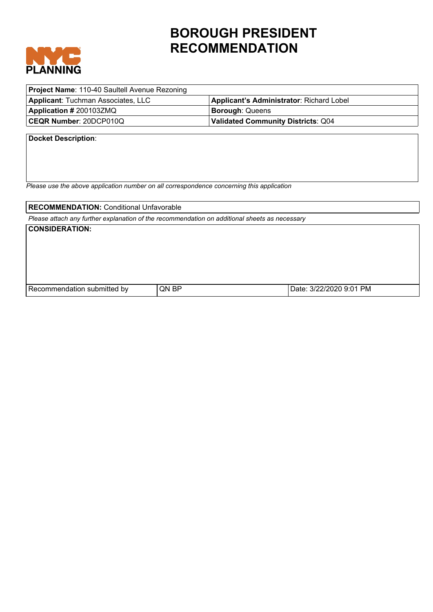

# **BOROUGH PRESIDENT RECOMMENDATION**

| <b>Project Name: 110-40 Saultell Avenue Rezoning</b> |                                          |  |
|------------------------------------------------------|------------------------------------------|--|
| <b>Applicant: Tuchman Associates, LLC</b>            | Applicant's Administrator: Richard Lobel |  |
| <b>Application # 200103ZMQ</b>                       | <b>Borough: Queens</b>                   |  |
| CEQR Number: 20DCP010Q                               | Validated Community Districts: Q04       |  |
|                                                      |                                          |  |

**Docket Description**:

*Please use the above application number on all correspondence concerning this application*

**RECOMMENDATION: Conditional Unfavorable** 

*Please attach any further explanation of the recommendation on additional sheets as necessary*

**CONSIDERATION:** 

| l Recomme<br>nv<br>enoallon | <b>BP</b><br>.ON | PM |
|-----------------------------|------------------|----|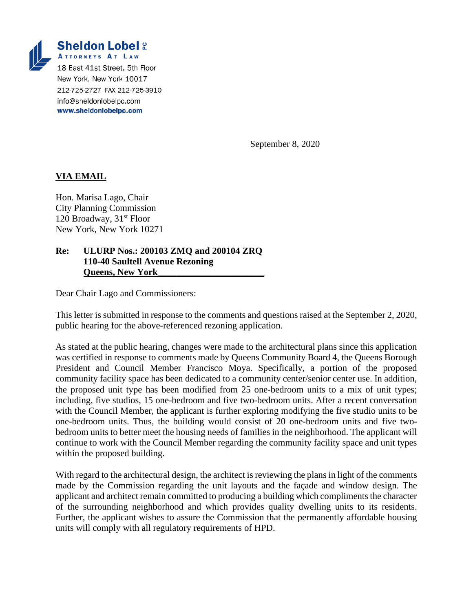

info@sheldonlobelpc.com www.sheldonlobelpc.com

September 8, 2020

# **VIA EMAIL**

Hon. Marisa Lago, Chair City Planning Commission 120 Broadway, 31<sup>st</sup> Floor New York, New York 10271

#### **Re: ULURP Nos.: 200103 ZMQ and 200104 ZRQ 110-40 Saultell Avenue Rezoning Queens, New York\_\_\_\_\_\_\_\_\_\_\_\_\_\_\_\_\_\_\_\_\_\_\_**

Dear Chair Lago and Commissioners:

This letter is submitted in response to the comments and questions raised at the September 2, 2020, public hearing for the above-referenced rezoning application.

As stated at the public hearing, changes were made to the architectural plans since this application was certified in response to comments made by Queens Community Board 4, the Queens Borough President and Council Member Francisco Moya. Specifically, a portion of the proposed community facility space has been dedicated to a community center/senior center use. In addition, the proposed unit type has been modified from 25 one-bedroom units to a mix of unit types; including, five studios, 15 one-bedroom and five two-bedroom units. After a recent conversation with the Council Member, the applicant is further exploring modifying the five studio units to be one-bedroom units. Thus, the building would consist of 20 one-bedroom units and five twobedroom units to better meet the housing needs of families in the neighborhood. The applicant will continue to work with the Council Member regarding the community facility space and unit types within the proposed building.

With regard to the architectural design, the architect is reviewing the plans in light of the comments made by the Commission regarding the unit layouts and the façade and window design. The applicant and architect remain committed to producing a building which compliments the character of the surrounding neighborhood and which provides quality dwelling units to its residents. Further, the applicant wishes to assure the Commission that the permanently affordable housing units will comply with all regulatory requirements of HPD.